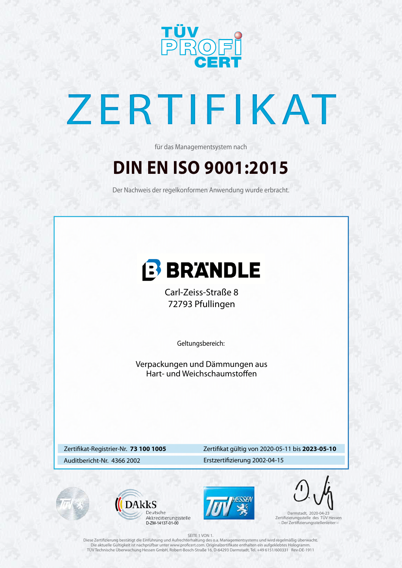

# ZERTIFIKAT

### **DIN EN ISO 9001:2015**

für das Managementsystem nach

Der Nachweis der regelkonformen Anwendung wurde erbracht.



### Zertifikat-Registrier-Nr. **73 100 1005**

### Auditbericht-Nr. 4366 2002 Erstzertifizierung 2002-04-15





### Zertifikat gültig von 2020-05-11 bis **2023-05-10**

Geltungsbereich:

### SEITE 1 VON 1.

Diese Zertifizierung bestätigt die Einführung und Aufrechterhaltung des o.a. Managementsystems und wird regelmäßig überwacht. Die aktuelle Gültigkeit ist nachprüfbar unter www.proficert.com. Originalzertifikate enthalten ein aufgeklebtes Hologramm. TÜV Technische Überwachung Hessen GmbH, Robert-Bosch-Straße 16, D-64293 Darmstadt, Tel. +49 6151/600331 Rev-DE-1911



Darmstadt, 2020-04-23 Zertifizierungsstelle des TÜV Hessen D-ZM-14137-01-00 – Der Zertifizierungsstellenleiter –

Verpackungen und Dämmungen aus Hart- und Weichschaumstoffen

Carl-Zeiss-Straße 8 72793 Pfullingen